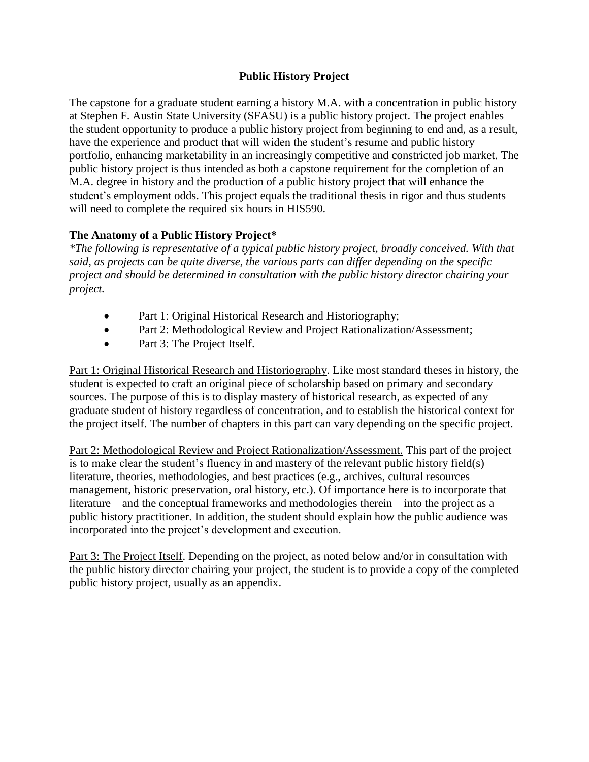## **Public History Project**

The capstone for a graduate student earning a history M.A. with a concentration in public history at Stephen F. Austin State University (SFASU) is a public history project. The project enables the student opportunity to produce a public history project from beginning to end and, as a result, have the experience and product that will widen the student's resume and public history portfolio, enhancing marketability in an increasingly competitive and constricted job market. The public history project is thus intended as both a capstone requirement for the completion of an M.A. degree in history and the production of a public history project that will enhance the student's employment odds. This project equals the traditional thesis in rigor and thus students will need to complete the required six hours in HIS590.

## **The Anatomy of a Public History Project\***

*\*The following is representative of a typical public history project, broadly conceived. With that said, as projects can be quite diverse, the various parts can differ depending on the specific project and should be determined in consultation with the public history director chairing your project.*

- Part 1: Original Historical Research and Historiography;
- Part 2: Methodological Review and Project Rationalization/Assessment;
- Part 3: The Project Itself.

Part 1: Original Historical Research and Historiography. Like most standard theses in history, the student is expected to craft an original piece of scholarship based on primary and secondary sources. The purpose of this is to display mastery of historical research, as expected of any graduate student of history regardless of concentration, and to establish the historical context for the project itself. The number of chapters in this part can vary depending on the specific project.

Part 2: Methodological Review and Project Rationalization/Assessment. This part of the project is to make clear the student's fluency in and mastery of the relevant public history field(s) literature, theories, methodologies, and best practices (e.g., archives, cultural resources management, historic preservation, oral history, etc.). Of importance here is to incorporate that literature—and the conceptual frameworks and methodologies therein—into the project as a public history practitioner. In addition, the student should explain how the public audience was incorporated into the project's development and execution.

Part 3: The Project Itself. Depending on the project, as noted below and/or in consultation with the public history director chairing your project, the student is to provide a copy of the completed public history project, usually as an appendix.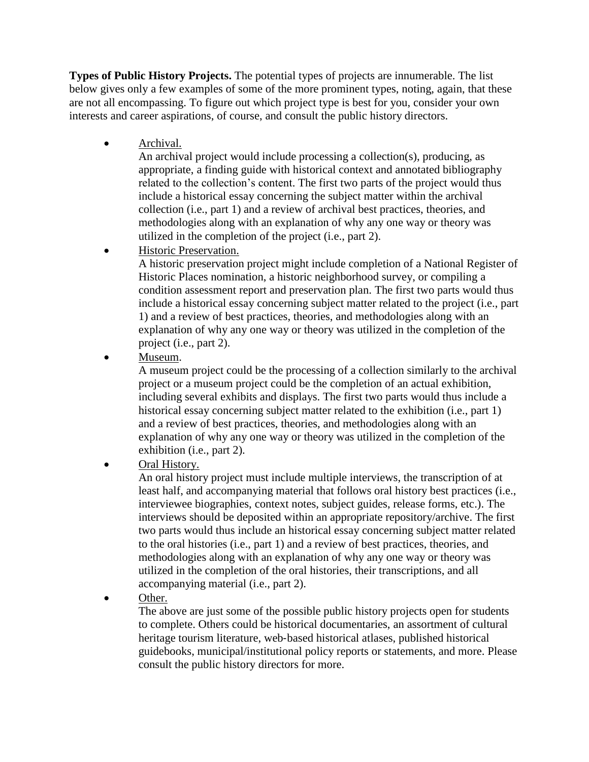**Types of Public History Projects.** The potential types of projects are innumerable. The list below gives only a few examples of some of the more prominent types, noting, again, that these are not all encompassing. To figure out which project type is best for you, consider your own interests and career aspirations, of course, and consult the public history directors.

• **Archival.** 

An archival project would include processing a collection(s), producing, as appropriate, a finding guide with historical context and annotated bibliography related to the collection's content. The first two parts of the project would thus include a historical essay concerning the subject matter within the archival collection (i.e., part 1) and a review of archival best practices, theories, and methodologies along with an explanation of why any one way or theory was utilized in the completion of the project (i.e., part 2).

Historic Preservation.

A historic preservation project might include completion of a National Register of Historic Places nomination, a historic neighborhood survey, or compiling a condition assessment report and preservation plan. The first two parts would thus include a historical essay concerning subject matter related to the project (i.e., part 1) and a review of best practices, theories, and methodologies along with an explanation of why any one way or theory was utilized in the completion of the project (i.e., part 2).

Museum.

A museum project could be the processing of a collection similarly to the archival project or a museum project could be the completion of an actual exhibition, including several exhibits and displays. The first two parts would thus include a historical essay concerning subject matter related to the exhibition (i.e., part 1) and a review of best practices, theories, and methodologies along with an explanation of why any one way or theory was utilized in the completion of the exhibition (i.e., part 2).

Oral History.

An oral history project must include multiple interviews, the transcription of at least half, and accompanying material that follows oral history best practices (i.e., interviewee biographies, context notes, subject guides, release forms, etc.). The interviews should be deposited within an appropriate repository/archive. The first two parts would thus include an historical essay concerning subject matter related to the oral histories (i.e., part 1) and a review of best practices, theories, and methodologies along with an explanation of why any one way or theory was utilized in the completion of the oral histories, their transcriptions, and all accompanying material (i.e., part 2).

Other.

The above are just some of the possible public history projects open for students to complete. Others could be historical documentaries, an assortment of cultural heritage tourism literature, web‐based historical atlases, published historical guidebooks, municipal/institutional policy reports or statements, and more. Please consult the public history directors for more.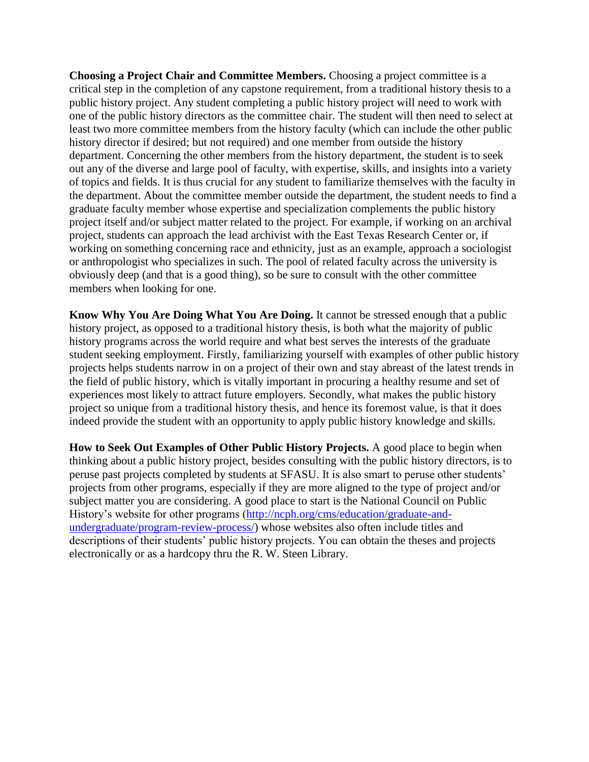**Choosing a Project Chair and Committee Members.** Choosing a project committee is a critical step in the completion of any capstone requirement, from a traditional history thesis to a public history project. Any student completing a public history project will need to work with one of the public history directors as the committee chair. The student will then need to select at least two more committee members from the history faculty (which can include the other public history director if desired; but not required) and one member from outside the history department. Concerning the other members from the history department, the student is to seek out any of the diverse and large pool of faculty, with expertise, skills, and insights into a variety of topics and fields. It is thus crucial for any student to familiarize themselves with the faculty in the department. About the committee member outside the department, the student needs to find a graduate faculty member whose expertise and specialization complements the public history project itself and/or subject matter related to the project. For example, if working on an archival project, students can approach the lead archivist with the East Texas Research Center or, if working on something concerning race and ethnicity, just as an example, approach a sociologist or anthropologist who specializes in such. The pool of related faculty across the university is obviously deep (and that is a good thing), so be sure to consult with the other committee members when looking for one.

**Know Why You Are Doing What You Are Doing.** It cannot be stressed enough that a public history project, as opposed to a traditional history thesis, is both what the majority of public history programs across the world require and what best serves the interests of the graduate student seeking employment. Firstly, familiarizing yourself with examples of other public history projects helps students narrow in on a project of their own and stay abreast of the latest trends in the field of public history, which is vitally important in procuring a healthy resume and set of experiences most likely to attract future employers. Secondly, what makes the public history project so unique from a traditional history thesis, and hence its foremost value, is that it does indeed provide the student with an opportunity to apply public history knowledge and skills.

**How to Seek Out Examples of Other Public History Projects.** A good place to begin when thinking about a public history project, besides consulting with the public history directors, is to peruse past projects completed by students at SFASU. It is also smart to peruse other students' projects from other programs, especially if they are more aligned to the type of project and/or subject matter you are considering. A good place to start is the National Council on Public History's website for other programs [\(http://ncph.org/cms/education/graduate-and](http://ncph.org/cms/education/graduate-and-undergraduate/program-review-process/)[undergraduate/program-review-process/\)](http://ncph.org/cms/education/graduate-and-undergraduate/program-review-process/) whose websites also often include titles and descriptions of their students' public history projects. You can obtain the theses and projects electronically or as a hardcopy thru the R. W. Steen Library.